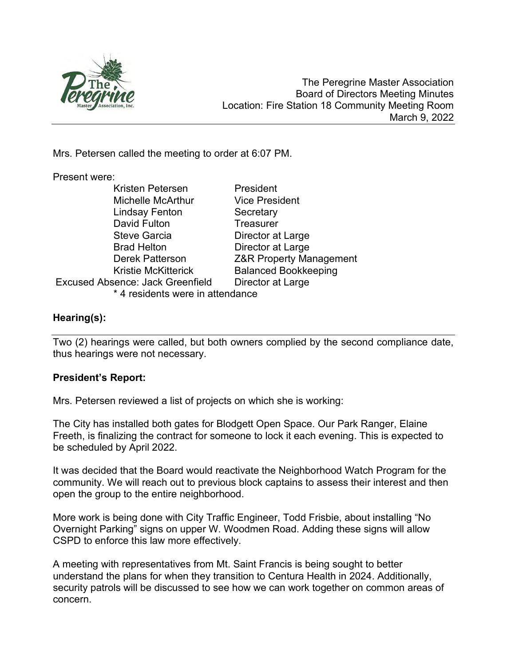

Mrs. Petersen called the meeting to order at 6:07 PM.

## Present were:

| Kristen Petersen                        | President                          |
|-----------------------------------------|------------------------------------|
| <b>Michelle McArthur</b>                | <b>Vice President</b>              |
| <b>Lindsay Fenton</b>                   | Secretary                          |
| David Fulton                            | Treasurer                          |
| <b>Steve Garcia</b>                     | Director at Large                  |
| <b>Brad Helton</b>                      | Director at Large                  |
| <b>Derek Patterson</b>                  | <b>Z&amp;R Property Management</b> |
| <b>Kristie McKitterick</b>              | <b>Balanced Bookkeeping</b>        |
| <b>Excused Absence: Jack Greenfield</b> | Director at Large                  |
| * 4 residents were in attendance        |                                    |

# Hearing(s):

Two (2) hearings were called, but both owners complied by the second compliance date, thus hearings were not necessary.

# President's Report:

Mrs. Petersen reviewed a list of projects on which she is working:

The City has installed both gates for Blodgett Open Space. Our Park Ranger, Elaine Freeth, is finalizing the contract for someone to lock it each evening. This is expected to be scheduled by April 2022.

It was decided that the Board would reactivate the Neighborhood Watch Program for the community. We will reach out to previous block captains to assess their interest and then open the group to the entire neighborhood.

More work is being done with City Traffic Engineer, Todd Frisbie, about installing "No Overnight Parking" signs on upper W. Woodmen Road. Adding these signs will allow CSPD to enforce this law more effectively.

A meeting with representatives from Mt. Saint Francis is being sought to better understand the plans for when they transition to Centura Health in 2024. Additionally, security patrols will be discussed to see how we can work together on common areas of concern.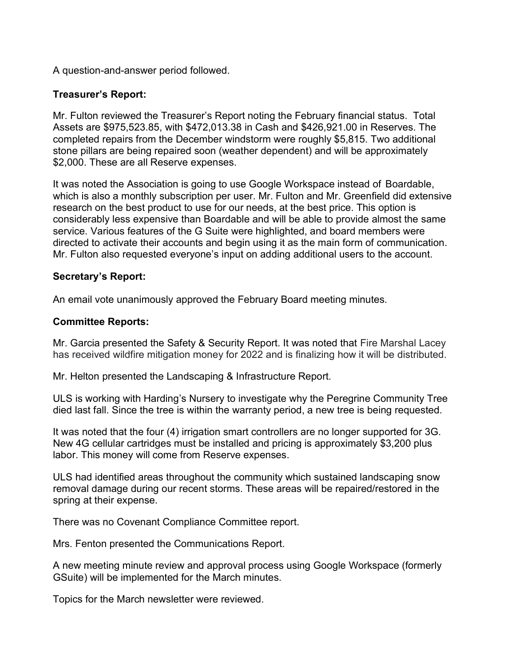A question-and-answer period followed.

# Treasurer's Report:

Mr. Fulton reviewed the Treasurer's Report noting the February financial status. Total Assets are \$975,523.85, with \$472,013.38 in Cash and \$426,921.00 in Reserves. The completed repairs from the December windstorm were roughly \$5,815. Two additional stone pillars are being repaired soon (weather dependent) and will be approximately \$2,000. These are all Reserve expenses.

It was noted the Association is going to use Google Workspace instead of Boardable, which is also a monthly subscription per user. Mr. Fulton and Mr. Greenfield did extensive research on the best product to use for our needs, at the best price. This option is considerably less expensive than Boardable and will be able to provide almost the same service. Various features of the G Suite were highlighted, and board members were directed to activate their accounts and begin using it as the main form of communication. Mr. Fulton also requested everyone's input on adding additional users to the account.

# Secretary's Report:

An email vote unanimously approved the February Board meeting minutes.

## Committee Reports:

Mr. Garcia presented the Safety & Security Report. It was noted that Fire Marshal Lacey has received wildfire mitigation money for 2022 and is finalizing how it will be distributed.

Mr. Helton presented the Landscaping & Infrastructure Report.

ULS is working with Harding's Nursery to investigate why the Peregrine Community Tree died last fall. Since the tree is within the warranty period, a new tree is being requested.

It was noted that the four (4) irrigation smart controllers are no longer supported for 3G. New 4G cellular cartridges must be installed and pricing is approximately \$3,200 plus labor. This money will come from Reserve expenses.

ULS had identified areas throughout the community which sustained landscaping snow removal damage during our recent storms. These areas will be repaired/restored in the spring at their expense.

There was no Covenant Compliance Committee report.

Mrs. Fenton presented the Communications Report.

A new meeting minute review and approval process using Google Workspace (formerly GSuite) will be implemented for the March minutes.

Topics for the March newsletter were reviewed.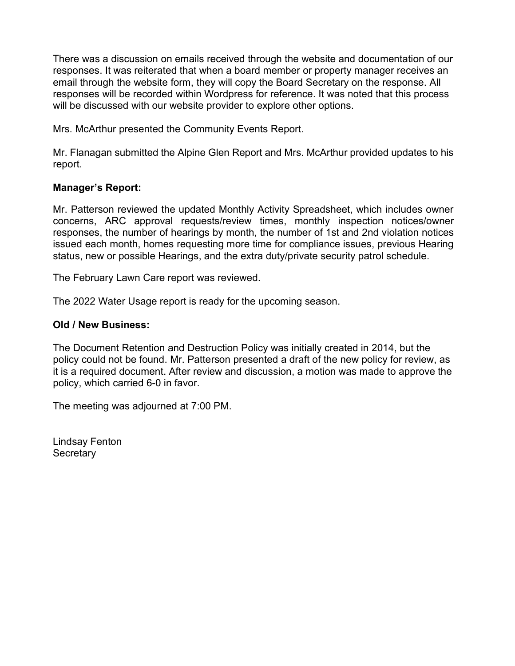There was a discussion on emails received through the website and documentation of our responses. It was reiterated that when a board member or property manager receives an email through the website form, they will copy the Board Secretary on the response. All responses will be recorded within Wordpress for reference. It was noted that this process will be discussed with our website provider to explore other options.

Mrs. McArthur presented the Community Events Report.

Mr. Flanagan submitted the Alpine Glen Report and Mrs. McArthur provided updates to his report.

# Manager's Report:

Mr. Patterson reviewed the updated Monthly Activity Spreadsheet, which includes owner concerns, ARC approval requests/review times, monthly inspection notices/owner responses, the number of hearings by month, the number of 1st and 2nd violation notices issued each month, homes requesting more time for compliance issues, previous Hearing status, new or possible Hearings, and the extra duty/private security patrol schedule.

The February Lawn Care report was reviewed.

The 2022 Water Usage report is ready for the upcoming season.

#### Old / New Business:

The Document Retention and Destruction Policy was initially created in 2014, but the policy could not be found. Mr. Patterson presented a draft of the new policy for review, as it is a required document. After review and discussion, a motion was made to approve the policy, which carried 6-0 in favor.

The meeting was adjourned at 7:00 PM.

Lindsay Fenton **Secretary**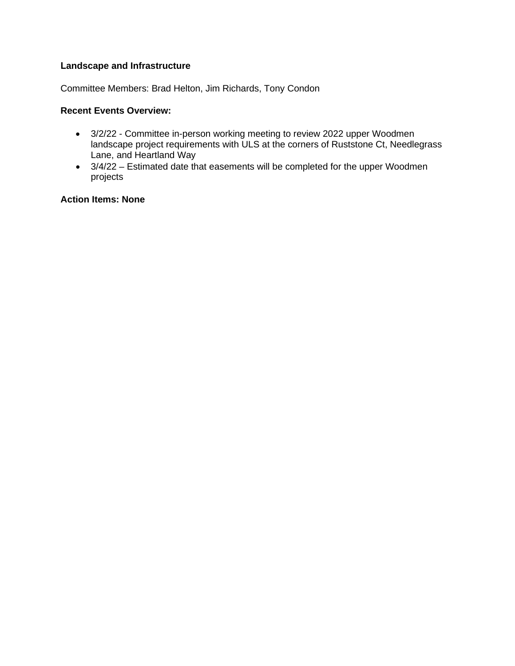#### **Landscape and Infrastructure**

Committee Members: Brad Helton, Jim Richards, Tony Condon

#### **Recent Events Overview:**

- 3/2/22 Committee in-person working meeting to review 2022 upper Woodmen landscape project requirements with ULS at the corners of Ruststone Ct, Needlegrass Lane, and Heartland Way
- 3/4/22 Estimated date that easements will be completed for the upper Woodmen projects

#### **Action Items: None**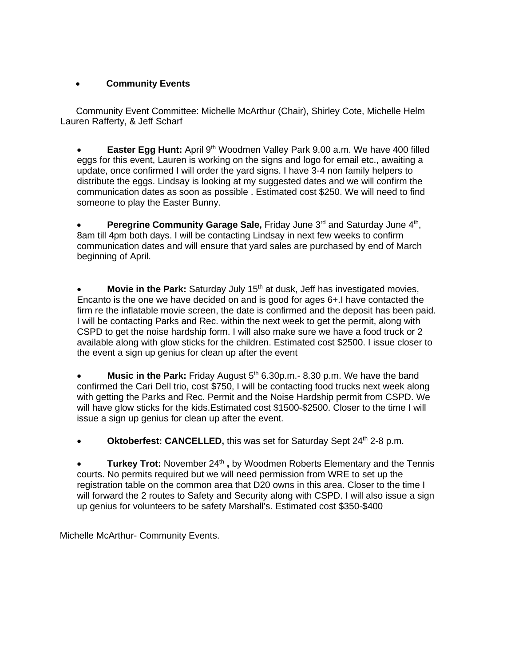### • **Community Events**

Community Event Committee: Michelle McArthur (Chair), Shirley Cote, Michelle Helm Lauren Rafferty, & Jeff Scharf

• **Easter Egg Hunt:** April 9<sup>th</sup> Woodmen Valley Park 9.00 a.m. We have 400 filled eggs for this event, Lauren is working on the signs and logo for email etc., awaiting a update, once confirmed I will order the yard signs. I have 3-4 non family helpers to distribute the eggs. Lindsay is looking at my suggested dates and we will confirm the communication dates as soon as possible . Estimated cost \$250. We will need to find someone to play the Easter Bunny.

**Peregrine Community Garage Sale, Friday June 3<sup>rd</sup> and Saturday June 4<sup>th</sup>,** 8am till 4pm both days. I will be contacting Lindsay in next few weeks to confirm communication dates and will ensure that yard sales are purchased by end of March beginning of April.

**Movie in the Park:** Saturday July 15<sup>th</sup> at dusk, Jeff has investigated movies, Encanto is the one we have decided on and is good for ages 6+.I have contacted the firm re the inflatable movie screen, the date is confirmed and the deposit has been paid. I will be contacting Parks and Rec. within the next week to get the permit, along with CSPD to get the noise hardship form. I will also make sure we have a food truck or 2 available along with glow sticks for the children. Estimated cost \$2500. I issue closer to the event a sign up genius for clean up after the event

**Music in the Park:** Friday August 5<sup>th</sup> 6.30p.m.- 8.30 p.m. We have the band confirmed the Cari Dell trio, cost \$750, I will be contacting food trucks next week along with getting the Parks and Rec. Permit and the Noise Hardship permit from CSPD. We will have glow sticks for the kids.Estimated cost \$1500-\$2500. Closer to the time I will issue a sign up genius for clean up after the event.

**Oktoberfest: CANCELLED, this was set for Saturday Sept 24th 2-8 p.m.** 

**Turkey Trot:** November 24<sup>th</sup>, by Woodmen Roberts Elementary and the Tennis courts. No permits required but we will need permission from WRE to set up the registration table on the common area that D20 owns in this area. Closer to the time I will forward the 2 routes to Safety and Security along with CSPD. I will also issue a sign up genius for volunteers to be safety Marshall's. Estimated cost \$350-\$400

Michelle McArthur- Community Events.